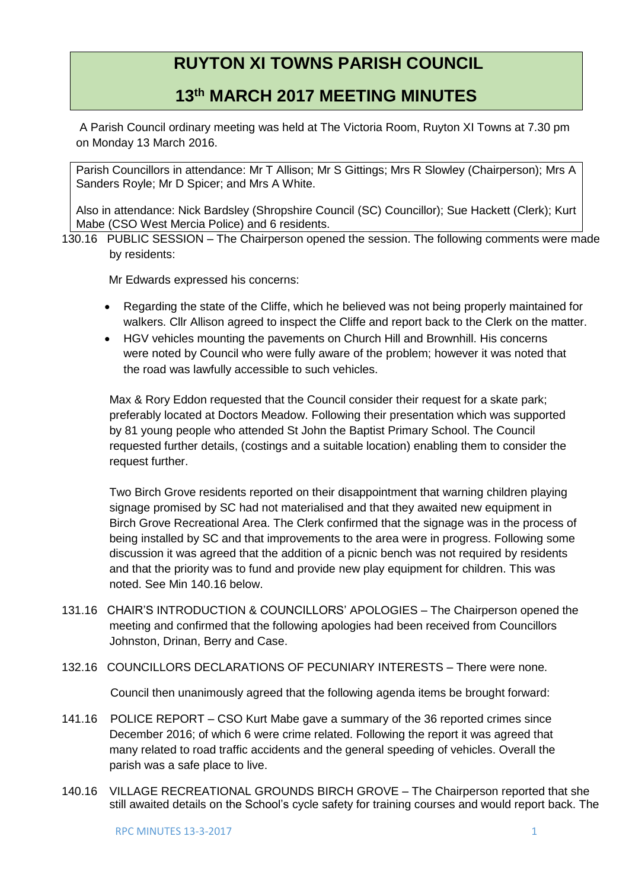## **RUYTON XI TOWNS PARISH COUNCIL**

## **13th MARCH 2017 MEETING MINUTES**

A Parish Council ordinary meeting was held at The Victoria Room, Ruyton XI Towns at 7.30 pm on Monday 13 March 2016.

Parish Councillors in attendance: Mr T Allison; Mr S Gittings; Mrs R Slowley (Chairperson); Mrs A Sanders Royle; Mr D Spicer; and Mrs A White.

Also in attendance: Nick Bardsley (Shropshire Council (SC) Councillor); Sue Hackett (Clerk); Kurt Mabe (CSO West Mercia Police) and 6 residents.

130.16 PUBLIC SESSION – The Chairperson opened the session. The following comments were made by residents:

Mr Edwards expressed his concerns:

- Regarding the state of the Cliffe, which he believed was not being properly maintained for walkers. Cllr Allison agreed to inspect the Cliffe and report back to the Clerk on the matter.
- HGV vehicles mounting the pavements on Church Hill and Brownhill. His concerns were noted by Council who were fully aware of the problem; however it was noted that the road was lawfully accessible to such vehicles.

Max & Rory Eddon requested that the Council consider their request for a skate park; preferably located at Doctors Meadow. Following their presentation which was supported by 81 young people who attended St John the Baptist Primary School. The Council requested further details, (costings and a suitable location) enabling them to consider the request further.

Two Birch Grove residents reported on their disappointment that warning children playing signage promised by SC had not materialised and that they awaited new equipment in Birch Grove Recreational Area. The Clerk confirmed that the signage was in the process of being installed by SC and that improvements to the area were in progress. Following some discussion it was agreed that the addition of a picnic bench was not required by residents and that the priority was to fund and provide new play equipment for children. This was noted. See Min 140.16 below.

- 131.16 CHAIR'S INTRODUCTION & COUNCILLORS' APOLOGIES The Chairperson opened the meeting and confirmed that the following apologies had been received from Councillors Johnston, Drinan, Berry and Case.
- 132.16 COUNCILLORS DECLARATIONS OF PECUNIARY INTERESTS There were none.

Council then unanimously agreed that the following agenda items be brought forward:

- 141.16 POLICE REPORT CSO Kurt Mabe gave a summary of the 36 reported crimes since December 2016; of which 6 were crime related. Following the report it was agreed that many related to road traffic accidents and the general speeding of vehicles. Overall the parish was a safe place to live.
- 140.16 VILLAGE RECREATIONAL GROUNDS BIRCH GROVE The Chairperson reported that she still awaited details on the School's cycle safety for training courses and would report back. The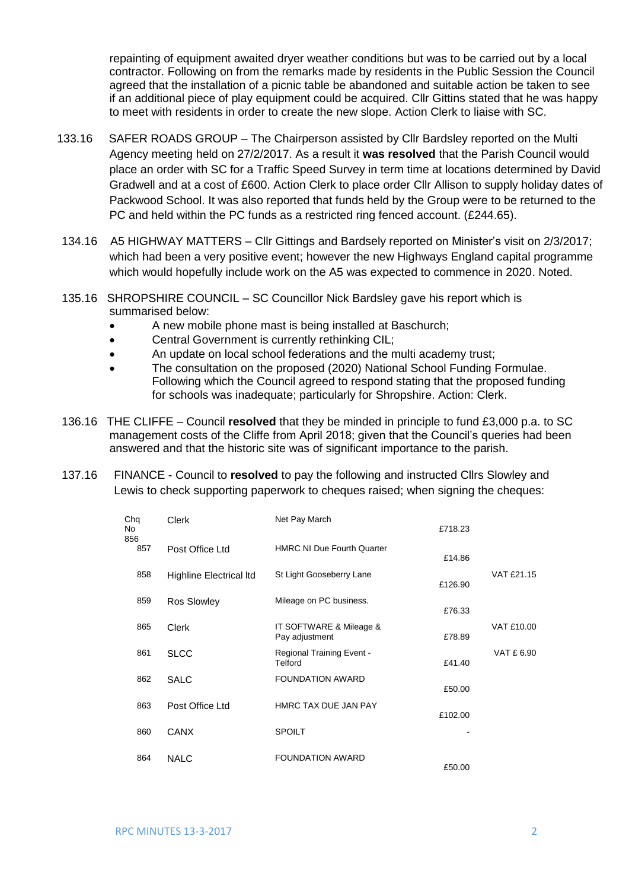repainting of equipment awaited dryer weather conditions but was to be carried out by a local contractor. Following on from the remarks made by residents in the Public Session the Council agreed that the installation of a picnic table be abandoned and suitable action be taken to see if an additional piece of play equipment could be acquired. Cllr Gittins stated that he was happy to meet with residents in order to create the new slope. Action Clerk to liaise with SC.

- 133.16 SAFER ROADS GROUP The Chairperson assisted by Cllr Bardsley reported on the Multi Agency meeting held on 27/2/2017. As a result it **was resolved** that the Parish Council would place an order with SC for a Traffic Speed Survey in term time at locations determined by David Gradwell and at a cost of £600. Action Clerk to place order Cllr Allison to supply holiday dates of Packwood School. It was also reported that funds held by the Group were to be returned to the PC and held within the PC funds as a restricted ring fenced account. (£244.65).
- 134.16 A5 HIGHWAY MATTERS Cllr Gittings and Bardsely reported on Minister's visit on 2/3/2017; which had been a very positive event; however the new Highways England capital programme which would hopefully include work on the A5 was expected to commence in 2020. Noted.
- 135.16 SHROPSHIRE COUNCIL SC Councillor Nick Bardsley gave his report which is summarised below:
	- A new mobile phone mast is being installed at Baschurch;
	- Central Government is currently rethinking CIL;
	- An update on local school federations and the multi academy trust;
	- The consultation on the proposed (2020) National School Funding Formulae. Following which the Council agreed to respond stating that the proposed funding for schools was inadequate; particularly for Shropshire. Action: Clerk.
- 136.16 THE CLIFFE Council **resolved** that they be minded in principle to fund £3,000 p.a. to SC management costs of the Cliffe from April 2018; given that the Council's queries had been answered and that the historic site was of significant importance to the parish.
- 137.16 FINANCE Council to **resolved** to pay the following and instructed Cllrs Slowley and Lewis to check supporting paperwork to cheques raised; when signing the cheques:

| Chq<br>No<br>856 | <b>Clerk</b>                   | Net Pay March                               | £718.23 |            |
|------------------|--------------------------------|---------------------------------------------|---------|------------|
| 857              | Post Office Ltd                | <b>HMRC NI Due Fourth Quarter</b>           | £14.86  |            |
| 858              | <b>Highline Electrical Itd</b> | St Light Gooseberry Lane                    | £126.90 | VAT £21.15 |
| 859              | Ros Slowley                    | Mileage on PC business.                     | £76.33  |            |
| 865              | <b>Clerk</b>                   | IT SOFTWARE & Mileage &<br>Pay adjustment   | £78.89  | VAT £10.00 |
| 861              | <b>SLCC</b>                    | <b>Regional Training Event -</b><br>Telford | £41.40  | VAT £ 6.90 |
| 862              | <b>SALC</b>                    | <b>FOUNDATION AWARD</b>                     | £50.00  |            |
| 863              | Post Office Ltd                | HMRC TAX DUE JAN PAY                        | £102.00 |            |
| 860              | <b>CANX</b>                    | <b>SPOILT</b>                               |         |            |
| 864              | <b>NALC</b>                    | <b>FOUNDATION AWARD</b>                     | £50.00  |            |